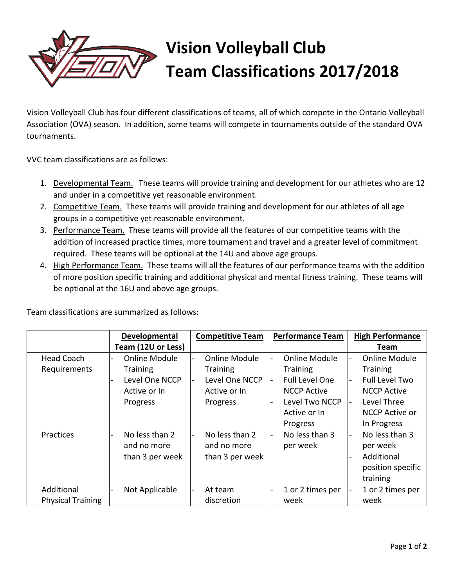

## **Vision Volleyball Club Team Classifications 2017/2018**

Vision Volleyball Club has four different classifications of teams, all of which compete in the Ontario Volleyball Association (OVA) season. In addition, some teams will compete in tournaments outside of the standard OVA tournaments.

VVC team classifications are as follows:

- 1. Developmental Team. These teams will provide training and development for our athletes who are 12 and under in a competitive yet reasonable environment.
- 2. Competitive Team. These teams will provide training and development for our athletes of all age groups in a competitive yet reasonable environment.
- 3. Performance Team. These teams will provide all the features of our competitive teams with the addition of increased practice times, more tournament and travel and a greater level of commitment required. These teams will be optional at the 14U and above age groups.
- 4. High Performance Team. These teams will all the features of our performance teams with the addition of more position specific training and additional physical and mental fitness training. These teams will be optional at the 16U and above age groups.

|                                        | Developmental                                                                         | <b>Competitive Team</b>                                                        | <b>Performance Team</b>                                                                           | <b>High Performance</b>                                                                                                                                  |
|----------------------------------------|---------------------------------------------------------------------------------------|--------------------------------------------------------------------------------|---------------------------------------------------------------------------------------------------|----------------------------------------------------------------------------------------------------------------------------------------------------------|
|                                        | Team (12U or Less)                                                                    |                                                                                |                                                                                                   | Team                                                                                                                                                     |
| <b>Head Coach</b><br>Requirements      | <b>Online Module</b><br><b>Training</b><br>Level One NCCP<br>Active or In<br>Progress | Online Module<br><b>Training</b><br>Level One NCCP<br>Active or In<br>Progress | Online Module<br><b>Training</b><br><b>Full Level One</b><br><b>NCCP Active</b><br>Level Two NCCP | <b>Online Module</b><br>-<br><b>Training</b><br><b>Full Level Two</b><br>$\blacksquare$<br><b>NCCP Active</b><br>Level Three<br>$\overline{\phantom{a}}$ |
|                                        |                                                                                       |                                                                                | Active or In<br>Progress                                                                          | NCCP Active or<br>In Progress                                                                                                                            |
| Practices                              | No less than 2<br>and no more<br>than 3 per week                                      | No less than 2<br>and no more<br>than 3 per week                               | No less than 3<br>per week                                                                        | No less than 3<br>÷.<br>per week<br>Additional<br>position specific<br>training                                                                          |
| Additional<br><b>Physical Training</b> | Not Applicable                                                                        | At team<br>discretion                                                          | 1 or 2 times per<br>week                                                                          | 1 or 2 times per<br>week                                                                                                                                 |

Team classifications are summarized as follows: